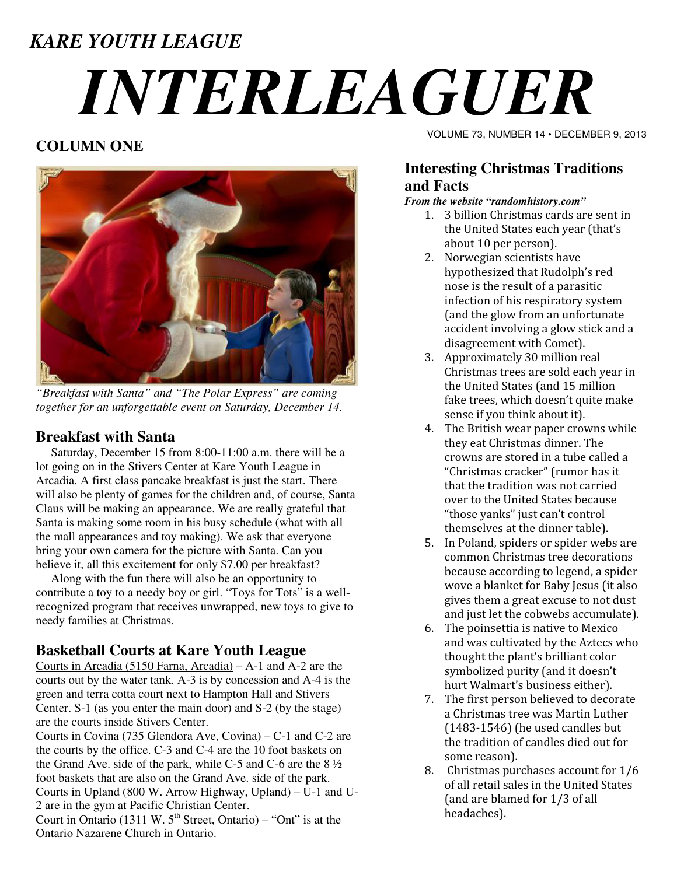# *KARE YOUTH LEAGUE INTERLEAGUER*

# **COLUMN ONE**



*"Breakfast with Santa" and "The Polar Express" are coming together for an unforgettable event on Saturday, December 14.* 

### **Breakfast with Santa**

 Saturday, December 15 from 8:00-11:00 a.m. there will be a lot going on in the Stivers Center at Kare Youth League in Arcadia. A first class pancake breakfast is just the start. There will also be plenty of games for the children and, of course, Santa Claus will be making an appearance. We are really grateful that Santa is making some room in his busy schedule (what with all the mall appearances and toy making). We ask that everyone bring your own camera for the picture with Santa. Can you believe it, all this excitement for only \$7.00 per breakfast?

 Along with the fun there will also be an opportunity to contribute a toy to a needy boy or girl. "Toys for Tots" is a wellrecognized program that receives unwrapped, new toys to give to needy families at Christmas.

# **Basketball Courts at Kare Youth League**

Courts in Arcadia (5150 Farna, Arcadia) – A-1 and A-2 are the courts out by the water tank. A-3 is by concession and A-4 is the green and terra cotta court next to Hampton Hall and Stivers Center. S-1 (as you enter the main door) and S-2 (by the stage) are the courts inside Stivers Center.

Courts in Covina (735 Glendora Ave, Covina) – C-1 and C-2 are the courts by the office. C-3 and C-4 are the 10 foot baskets on the Grand Ave. side of the park, while C-5 and C-6 are the  $8\frac{1}{2}$ foot baskets that are also on the Grand Ave. side of the park. Courts in Upland (800 W. Arrow Highway, Upland) – U-1 and U-2 are in the gym at Pacific Christian Center. Court in Ontario (1311 W.  $5<sup>th</sup>$  Street, Ontario) – "Ont" is at the Ontario Nazarene Church in Ontario.

VOLUME 73, NUMBER 14 • DECEMBER 9, 2013

## **Interesting Christmas Traditions and Facts**

#### *From the website "randomhistory.com"*

- 1. 3 billion Christmas cards are sent in the United States each year (that's about 10 per person).
- 2. Norwegian scientists have hypothesized that Rudolph's red nose is the result of a parasitic infection of his respiratory system (and the glow from an unfortunate accident involving a glow stick and a disagreement with Comet).
- 3. Approximately 30 million real Christmas trees are sold each year in the United States (and 15 million fake trees, which doesn't quite make sense if you think about it).
- 4. The British wear paper crowns while they eat Christmas dinner. The crowns are stored in a tube called a "Christmas cracker" (rumor has it that the tradition was not carried over to the United States because "those yanks" just can't control themselves at the dinner table).
- 5. In Poland, spiders or spider webs are common Christmas tree decorations because according to legend, a spider wove a blanket for Baby Jesus (it also gives them a great excuse to not dust and just let the cobwebs accumulate).
- 6. The poinsettia is native to Mexico and was cultivated by the Aztecs who thought the plant's brilliant color symbolized purity (and it doesn't hurt Walmart's business either).
- 7. The first person believed to decorate a Christmas tree was Martin Luther (1483-1546) (he used candles but the tradition of candles died out for some reason).
- 8. Christmas purchases account for 1/6 of all retail sales in the United States (and are blamed for 1/3 of all headaches).